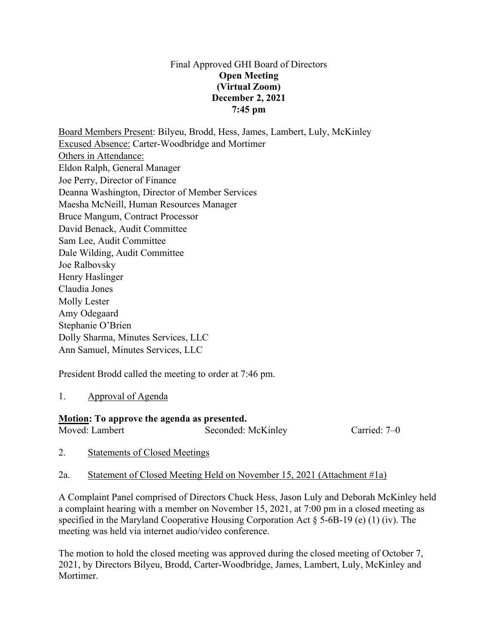#### Final Approved GHI Board of Directors **Open Meeting (Virtual Zoom) December 2, 2021 7:45 pm**

Board Members Present: Bilyeu, Brodd, Hess, James, Lambert, Luly, McKinley Excused Absence: Carter-Woodbridge and Mortimer Others in Attendance: Eldon Ralph, General Manager Joe Perry, Director of Finance Deanna Washington, Director of Member Services Maesha McNeill, Human Resources Manager Bruce Mangum, Contract Processor David Benack, Audit Committee Sam Lee, Audit Committee Dale Wilding, Audit Committee Joe Ralbovsky Henry Haslinger Claudia Jones Molly Lester Amy Odegaard Stephanie O'Brien Dolly Sharma, Minutes Services, LLC Ann Samuel, Minutes Services, LLC

President Brodd called the meeting to order at 7:46 pm.

#### 1. Approval of Agenda

#### **Motion: To approve the agenda as presented.** Moved: Lambert Seconded: McKinley Carried: 7–0

- 2. Statements of Closed Meetings
- 2a. Statement of Closed Meeting Held on November 15, 2021 (Attachment #1a)

A Complaint Panel comprised of Directors Chuck Hess, Jason Luly and Deborah McKinley held a complaint hearing with a member on November 15, 2021, at 7:00 pm in a closed meeting as specified in the Maryland Cooperative Housing Corporation Act § 5-6B-19 (e) (1) (iv). The meeting was held via internet audio/video conference.

The motion to hold the closed meeting was approved during the closed meeting of October 7, 2021, by Directors Bilyeu, Brodd, Carter-Woodbridge, James, Lambert, Luly, McKinley and Mortimer.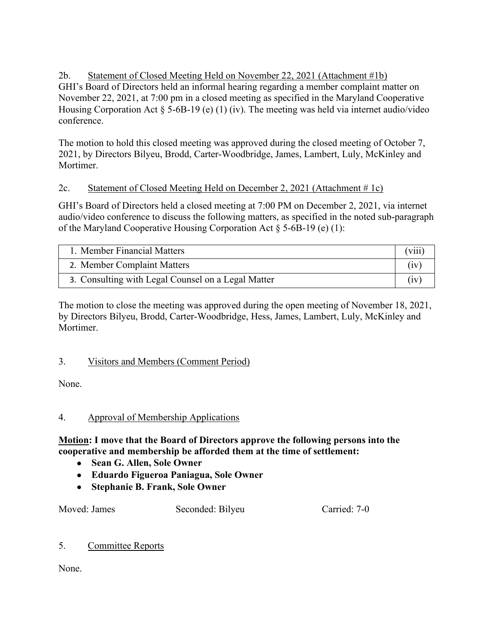2b. Statement of Closed Meeting Held on November 22, 2021 (Attachment #1b) GHI's Board of Directors held an informal hearing regarding a member complaint matter on November 22, 2021, at 7:00 pm in a closed meeting as specified in the Maryland Cooperative Housing Corporation Act § 5-6B-19 (e) (1) (iv). The meeting was held via internet audio/video conference.

The motion to hold this closed meeting was approved during the closed meeting of October 7, 2021, by Directors Bilyeu, Brodd, Carter-Woodbridge, James, Lambert, Luly, McKinley and Mortimer.

## 2c. Statement of Closed Meeting Held on December 2, 2021 (Attachment # 1c)

GHI's Board of Directors held a closed meeting at 7:00 PM on December 2, 2021, via internet audio/video conference to discuss the following matters, as specified in the noted sub-paragraph of the Maryland Cooperative Housing Corporation Act § 5-6B-19 (e) (1):

| 1. Member Financial Matters                        | (viii) |
|----------------------------------------------------|--------|
| 2. Member Complaint Matters                        | (1V    |
| 3. Consulting with Legal Counsel on a Legal Matter |        |

The motion to close the meeting was approved during the open meeting of November 18, 2021, by Directors Bilyeu, Brodd, Carter-Woodbridge, Hess, James, Lambert, Luly, McKinley and Mortimer.

# 3. Visitors and Members (Comment Period)

None.

# 4. Approval of Membership Applications

#### **Motion: I move that the Board of Directors approve the following persons into the cooperative and membership be afforded them at the time of settlement:**

- **Sean G. Allen, Sole Owner**
- **Eduardo Figueroa Paniagua, Sole Owner**
- **Stephanie B. Frank, Sole Owner**

Moved: James Seconded: Bilyeu Carried: 7-0

# 5. Committee Reports

None.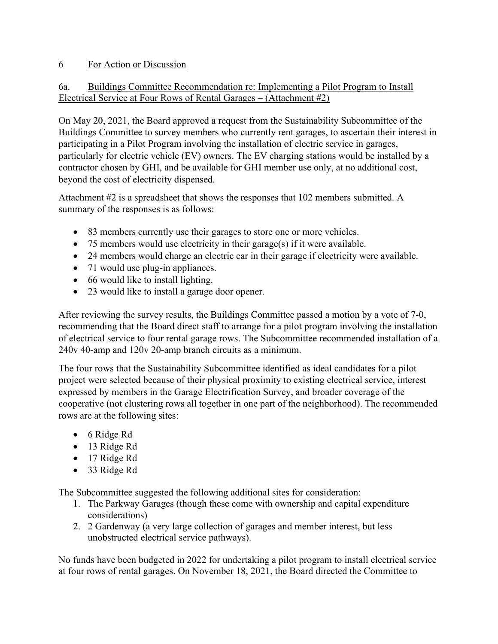#### 6 For Action or Discussion

#### 6a. Buildings Committee Recommendation re: Implementing a Pilot Program to Install Electrical Service at Four Rows of Rental Garages – (Attachment #2)

On May 20, 2021, the Board approved a request from the Sustainability Subcommittee of the Buildings Committee to survey members who currently rent garages, to ascertain their interest in participating in a Pilot Program involving the installation of electric service in garages, particularly for electric vehicle (EV) owners. The EV charging stations would be installed by a contractor chosen by GHI, and be available for GHI member use only, at no additional cost, beyond the cost of electricity dispensed.

Attachment #2 is a spreadsheet that shows the responses that 102 members submitted. A summary of the responses is as follows:

- 83 members currently use their garages to store one or more vehicles.
- 75 members would use electricity in their garage(s) if it were available.
- 24 members would charge an electric car in their garage if electricity were available.
- 71 would use plug-in appliances.
- 66 would like to install lighting.
- 23 would like to install a garage door opener.

After reviewing the survey results, the Buildings Committee passed a motion by a vote of 7-0, recommending that the Board direct staff to arrange for a pilot program involving the installation of electrical service to four rental garage rows. The Subcommittee recommended installation of a 240v 40-amp and 120v 20-amp branch circuits as a minimum.

The four rows that the Sustainability Subcommittee identified as ideal candidates for a pilot project were selected because of their physical proximity to existing electrical service, interest expressed by members in the Garage Electrification Survey, and broader coverage of the cooperative (not clustering rows all together in one part of the neighborhood). The recommended rows are at the following sites:

- 6 Ridge Rd
- 13 Ridge Rd
- 17 Ridge Rd
- 33 Ridge Rd

The Subcommittee suggested the following additional sites for consideration:

- 1. The Parkway Garages (though these come with ownership and capital expenditure considerations)
- 2. 2 Gardenway (a very large collection of garages and member interest, but less unobstructed electrical service pathways).

No funds have been budgeted in 2022 for undertaking a pilot program to install electrical service at four rows of rental garages. On November 18, 2021, the Board directed the Committee to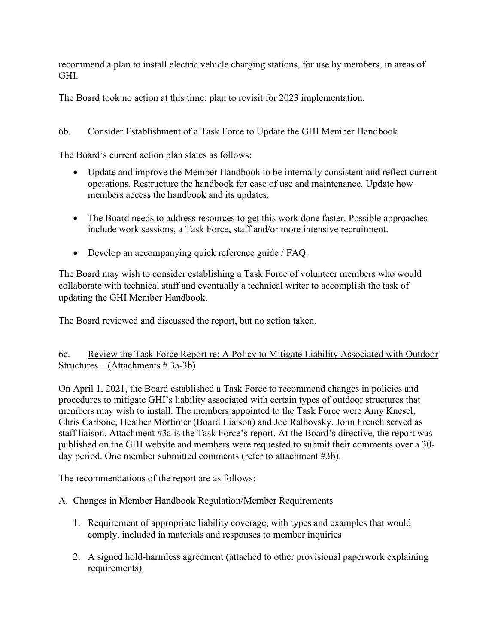recommend a plan to install electric vehicle charging stations, for use by members, in areas of GHI.

The Board took no action at this time; plan to revisit for 2023 implementation.

## 6b. Consider Establishment of a Task Force to Update the GHI Member Handbook

The Board's current action plan states as follows:

- Update and improve the Member Handbook to be internally consistent and reflect current operations. Restructure the handbook for ease of use and maintenance. Update how members access the handbook and its updates.
- The Board needs to address resources to get this work done faster. Possible approaches include work sessions, a Task Force, staff and/or more intensive recruitment.
- Develop an accompanying quick reference guide / FAQ.

The Board may wish to consider establishing a Task Force of volunteer members who would collaborate with technical staff and eventually a technical writer to accomplish the task of updating the GHI Member Handbook.

The Board reviewed and discussed the report, but no action taken.

#### 6c. Review the Task Force Report re: A Policy to Mitigate Liability Associated with Outdoor Structures – (Attachments # 3a-3b)

On April 1, 2021, the Board established a Task Force to recommend changes in policies and procedures to mitigate GHI's liability associated with certain types of outdoor structures that members may wish to install. The members appointed to the Task Force were Amy Knesel, Chris Carbone, Heather Mortimer (Board Liaison) and Joe Ralbovsky. John French served as staff liaison. Attachment #3a is the Task Force's report. At the Board's directive, the report was published on the GHI website and members were requested to submit their comments over a 30 day period. One member submitted comments (refer to attachment #3b).

The recommendations of the report are as follows:

## A. Changes in Member Handbook Regulation/Member Requirements

- 1. Requirement of appropriate liability coverage, with types and examples that would comply, included in materials and responses to member inquiries
- 2. A signed hold-harmless agreement (attached to other provisional paperwork explaining requirements).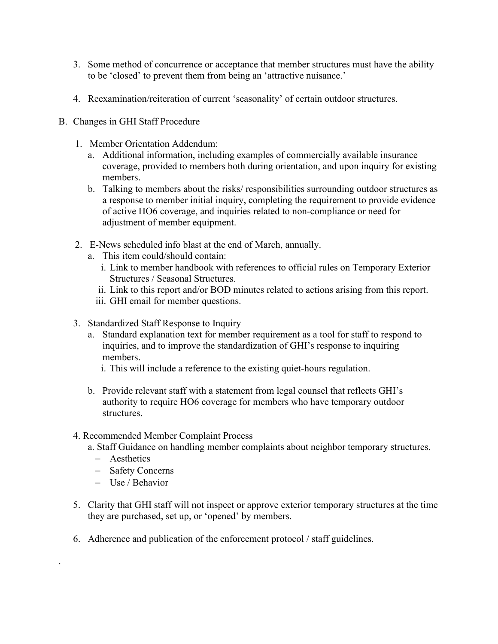- 3. Some method of concurrence or acceptance that member structures must have the ability to be 'closed' to prevent them from being an 'attractive nuisance.'
- 4. Reexamination/reiteration of current 'seasonality' of certain outdoor structures.

#### B. Changes in GHI Staff Procedure

- 1. Member Orientation Addendum:
	- a. Additional information, including examples of commercially available insurance coverage, provided to members both during orientation, and upon inquiry for existing members.
	- b. Talking to members about the risks/ responsibilities surrounding outdoor structures as a response to member initial inquiry, completing the requirement to provide evidence of active HO6 coverage, and inquiries related to non-compliance or need for adjustment of member equipment.
- 2. E-News scheduled info blast at the end of March, annually.
	- a. This item could/should contain:
		- i. Link to member handbook with references to official rules on Temporary Exterior Structures / Seasonal Structures.
		- ii. Link to this report and/or BOD minutes related to actions arising from this report.
		- iii. GHI email for member questions.
- 3. Standardized Staff Response to Inquiry
	- a. Standard explanation text for member requirement as a tool for staff to respond to inquiries, and to improve the standardization of GHI's response to inquiring members.
		- i. This will include a reference to the existing quiet-hours regulation.
	- b. Provide relevant staff with a statement from legal counsel that reflects GHI's authority to require HO6 coverage for members who have temporary outdoor structures.
- 4. Recommended Member Complaint Process
	- a. Staff Guidance on handling member complaints about neighbor temporary structures.
		- − Aesthetics

.

- − Safety Concerns
- − Use / Behavior
- 5. Clarity that GHI staff will not inspect or approve exterior temporary structures at the time they are purchased, set up, or 'opened' by members.
- 6. Adherence and publication of the enforcement protocol / staff guidelines.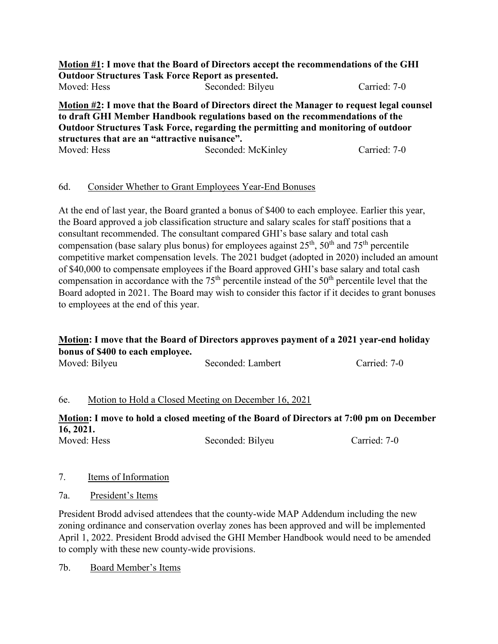|                                               | Motion #1: I move that the Board of Directors accept the recommendations of the GHI       |              |
|-----------------------------------------------|-------------------------------------------------------------------------------------------|--------------|
|                                               | <b>Outdoor Structures Task Force Report as presented.</b>                                 |              |
| Moved: Hess                                   | Seconded: Bilyeu                                                                          | Carried: 7-0 |
|                                               | Motion #2: I move that the Board of Directors direct the Manager to request legal counsel |              |
|                                               | to draft GHI Member Handbook regulations based on the recommendations of the              |              |
|                                               | Outdoor Structures Task Force, regarding the permitting and monitoring of outdoor         |              |
| structures that are an "attractive nuisance". |                                                                                           |              |

Moved: Hess Seconded: McKinley Carried: 7-0

#### 6d. Consider Whether to Grant Employees Year-End Bonuses

At the end of last year, the Board granted a bonus of \$400 to each employee. Earlier this year, the Board approved a job classification structure and salary scales for staff positions that a consultant recommended. The consultant compared GHI's base salary and total cash compensation (base salary plus bonus) for employees against  $25<sup>th</sup>$ ,  $50<sup>th</sup>$  and  $75<sup>th</sup>$  percentile competitive market compensation levels. The 2021 budget (adopted in 2020) included an amount of \$40,000 to compensate employees if the Board approved GHI's base salary and total cash compensation in accordance with the  $75<sup>th</sup>$  percentile instead of the  $50<sup>th</sup>$  percentile level that the Board adopted in 2021. The Board may wish to consider this factor if it decides to grant bonuses to employees at the end of this year.

## **Motion: I move that the Board of Directors approves payment of a 2021 year-end holiday bonus of \$400 to each employee.**

| Moved: Bilyeu | Seconded: Lambert | Carried: 7-0 |
|---------------|-------------------|--------------|

#### 6e. Motion to Hold a Closed Meeting on December 16, 2021

**Motion: I move to hold a closed meeting of the Board of Directors at 7:00 pm on December 16, 2021.** Moved: Hess Seconded: Bilyeu Carried: 7-0

# 7. Items of Information

7a. President's Items

President Brodd advised attendees that the county-wide MAP Addendum including the new zoning ordinance and conservation overlay zones has been approved and will be implemented April 1, 2022. President Brodd advised the GHI Member Handbook would need to be amended to comply with these new county-wide provisions.

7b. Board Member's Items